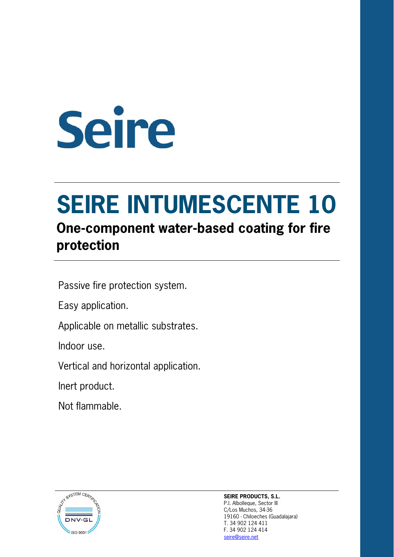# Seire

# **SEIRE INTUMESCENTE 10**

## **One-component water-based coating for fire protection**

Passive fire protection system.

Easy application.

Applicable on metallic substrates.

Indoor use.

Vertical and horizontal application.

Inert product.

Not flammable.



**SEIRE PRODUCTS, S.L.**  P.I. Albolleque, Sector III C/Los Muchos, 34-36 19160 - Chiloeches (Guadalajara) T. 34 902 124 411 F. 34 902 124 414 seire@seire.net